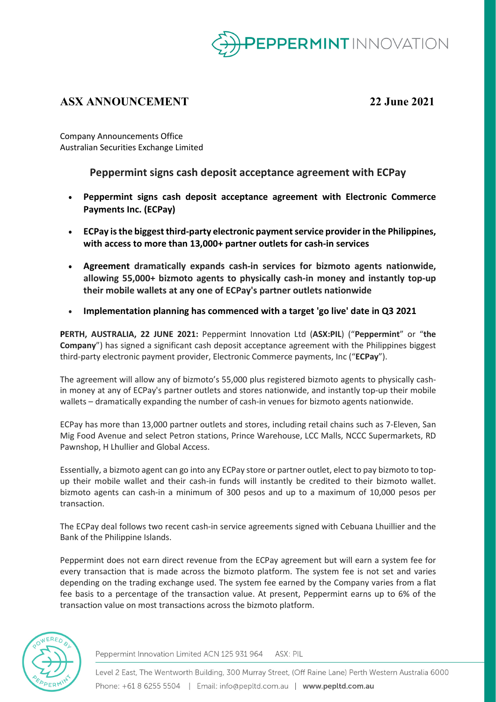

# **ASX ANNOUNCEMENT 22 June 2021**

Company Announcements Office Australian Securities Exchange Limited

**Peppermint signs cash deposit acceptance agreement with ECPay**

- **Peppermint signs cash deposit acceptance agreement with Electronic Commerce Payments Inc. (ECPay)**
- **ECPay is the biggest third-party electronic payment service provider in the Philippines, with access to more than 13,000+ partner outlets for cash-in services**
- **Agreement dramatically expands cash-in services for bizmoto agents nationwide, allowing 55,000+ bizmoto agents to physically cash-in money and instantly top-up their mobile wallets at any one of ECPay's partner outlets nationwide**
- **Implementation planning has commenced with a target 'go live' date in Q3 2021**

**PERTH, AUSTRALIA, 22 JUNE 2021:** Peppermint Innovation Ltd (**ASX:PIL**) ("**Peppermint**" or "**the Company**") has signed a significant cash deposit acceptance agreement with the Philippines biggest third-party electronic payment provider, Electronic Commerce payments, Inc ("**ECPay**").

The agreement will allow any of bizmoto's 55,000 plus registered bizmoto agents to physically cashin money at any of ECPay's partner outlets and stores nationwide, and instantly top-up their mobile wallets – dramatically expanding the number of cash-in venues for bizmoto agents nationwide.

ECPay has more than 13,000 partner outlets and stores, including retail chains such as 7-Eleven, San Mig Food Avenue and select Petron stations, Prince Warehouse, LCC Malls, NCCC Supermarkets, RD Pawnshop, H Lhullier and Global Access.

Essentially, a bizmoto agent can go into any ECPay store or partner outlet, elect to pay bizmoto to topup their mobile wallet and their cash-in funds will instantly be credited to their bizmoto wallet. bizmoto agents can cash-in a minimum of 300 pesos and up to a maximum of 10,000 pesos per transaction.

The ECPay deal follows two recent cash-in service agreements signed with Cebuana Lhuillier and the Bank of the Philippine Islands.

Peppermint does not earn direct revenue from the ECPay agreement but will earn a system fee for every transaction that is made across the bizmoto platform. The system fee is not set and varies depending on the trading exchange used. The system fee earned by the Company varies from a flat fee basis to a percentage of the transaction value. At present, Peppermint earns up to 6% of the transaction value on most transactions across the bizmoto platform.



Peppermint Innovation Limited ACN 125 931 964 ASX: PIL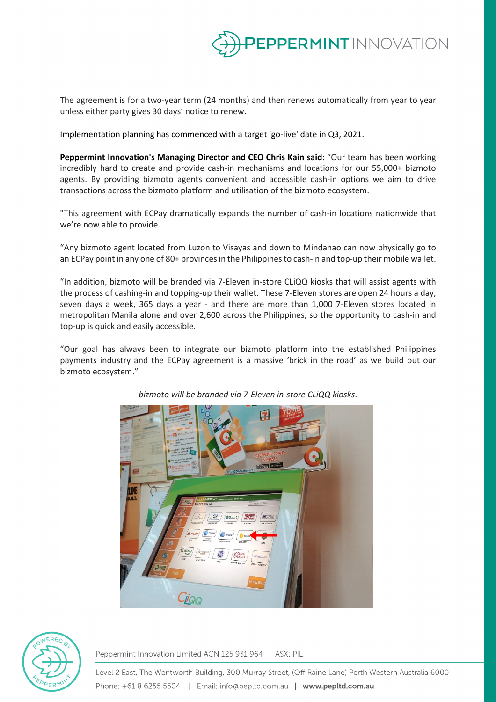

The agreement is for a two-year term (24 months) and then renews automatically from year to year unless either party gives 30 days' notice to renew.

Implementation planning has commenced with a target 'go-live' date in Q3, 2021.

**Peppermint Innovation's Managing Director and CEO Chris Kain said:** "Our team has been working incredibly hard to create and provide cash-in mechanisms and locations for our 55,000+ bizmoto agents. By providing bizmoto agents convenient and accessible cash-in options we aim to drive transactions across the bizmoto platform and utilisation of the bizmoto ecosystem.

"This agreement with ECPay dramatically expands the number of cash-in locations nationwide that we're now able to provide.

"Any bizmoto agent located from Luzon to Visayas and down to Mindanao can now physically go to an ECPay point in any one of 80+ provinces in the Philippines to cash-in and top-up their mobile wallet.

"In addition, bizmoto will be branded via 7-Eleven in-store CLiQQ kiosks that will assist agents with the process of cashing-in and topping-up their wallet. These 7-Eleven stores are open 24 hours a day, seven days a week, 365 days a year - and there are more than 1,000 7-Eleven stores located in metropolitan Manila alone and over 2,600 across the Philippines, so the opportunity to cash-in and top-up is quick and easily accessible.

"Our goal has always been to integrate our bizmoto platform into the established Philippines payments industry and the ECPay agreement is a massive 'brick in the road' as we build out our bizmoto ecosystem."



*bizmoto will be branded via 7-Eleven in-store CLiQQ kiosks*.



Peppermint Innovation Limited ACN 125 931 964 ASX: PIL